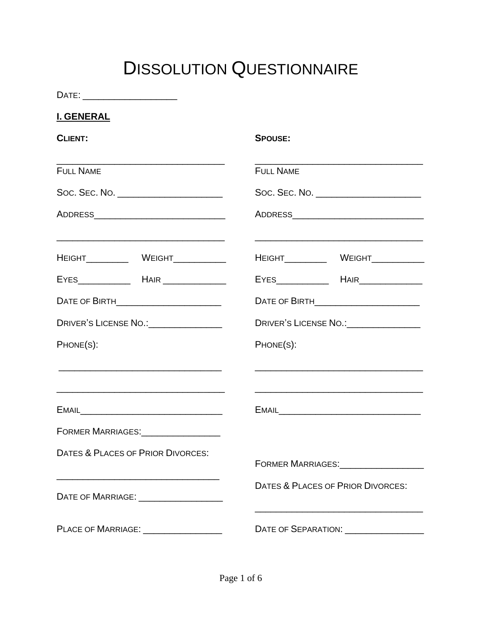## DISSOLUTION QUESTIONNAIRE

DATE: \_\_\_\_\_\_\_\_\_\_\_\_\_\_\_\_\_\_

| <b>I. GENERAL</b>                                                                                                     |                                                                                                                                          |  |  |  |
|-----------------------------------------------------------------------------------------------------------------------|------------------------------------------------------------------------------------------------------------------------------------------|--|--|--|
| <b>CLIENT:</b>                                                                                                        | <b>SPOUSE:</b>                                                                                                                           |  |  |  |
| <b>FULL NAME</b>                                                                                                      | <u> 2000 - Jan James James Jan James James James James James James James James James James James James James Jam</u><br><b>FULL NAME</b> |  |  |  |
| Soc. Sec. No. _______________________                                                                                 | Soc. Sec. No. ______________________                                                                                                     |  |  |  |
|                                                                                                                       |                                                                                                                                          |  |  |  |
|                                                                                                                       | <u> 2000 - Jan James James Jan James James Jan James James Jan James James Jan Jan Jan James Jan Jan Jan Jan Jan</u>                     |  |  |  |
|                                                                                                                       |                                                                                                                                          |  |  |  |
| DATE OF BIRTH___________________________                                                                              |                                                                                                                                          |  |  |  |
| DRIVER'S LICENSE NO.: University of Anti-                                                                             | DRIVER'S LICENSE NO.: ______________                                                                                                     |  |  |  |
| PHONE(S):                                                                                                             | PHONE(S):                                                                                                                                |  |  |  |
| <u> 1989 - Johann Stoff, deutscher Stoff, der Stoff, der Stoff, der Stoff, der Stoff, der Stoff, der Stoff, der S</u> |                                                                                                                                          |  |  |  |
|                                                                                                                       |                                                                                                                                          |  |  |  |
| FORMER MARRIAGES:                                                                                                     |                                                                                                                                          |  |  |  |
| DATES & PLACES OF PRIOR DIVORCES:                                                                                     | FORMER MARRIAGES:                                                                                                                        |  |  |  |
| DATE OF MARRIAGE: ___________________                                                                                 | DATES & PLACES OF PRIOR DIVORCES:                                                                                                        |  |  |  |
| PLACE OF MARRIAGE: _________________                                                                                  | DATE OF SEPARATION: ___________________                                                                                                  |  |  |  |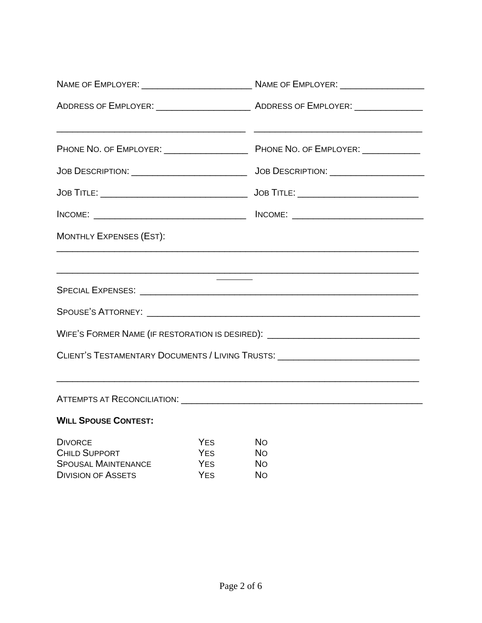| MONTHLY EXPENSES (EST):                                                                           |                                                      |                                                                                  |  |  |  |
|---------------------------------------------------------------------------------------------------|------------------------------------------------------|----------------------------------------------------------------------------------|--|--|--|
|                                                                                                   |                                                      |                                                                                  |  |  |  |
|                                                                                                   |                                                      | <u> The Communication of the Communication</u>                                   |  |  |  |
|                                                                                                   |                                                      |                                                                                  |  |  |  |
|                                                                                                   |                                                      | WIFE'S FORMER NAME (IF RESTORATION IS DESIRED): ________________________________ |  |  |  |
|                                                                                                   |                                                      | CLIENT'S TESTAMENTARY DOCUMENTS / LIVING TRUSTS: _______________________________ |  |  |  |
|                                                                                                   |                                                      |                                                                                  |  |  |  |
|                                                                                                   |                                                      |                                                                                  |  |  |  |
| <b>WILL SPOUSE CONTEST:</b>                                                                       |                                                      |                                                                                  |  |  |  |
| <b>DIVORCE</b><br><b>CHILD SUPPORT</b><br><b>SPOUSAL MAINTENANCE</b><br><b>DIVISION OF ASSETS</b> | <b>YES</b><br><b>YES</b><br><b>YES</b><br><b>YES</b> | <b>No</b><br><b>No</b><br><b>No</b><br><b>No</b>                                 |  |  |  |

DIVISION OF ASSETS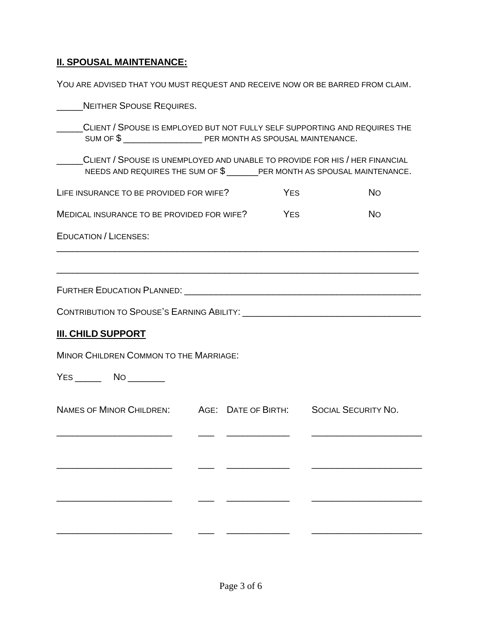## **II. SPOUSAL MAINTENANCE:**

| YOU ARE ADVISED THAT YOU MUST REQUEST AND RECEIVE NOW OR BE BARRED FROM CLAIM.                                                                         |  |            |                            |
|--------------------------------------------------------------------------------------------------------------------------------------------------------|--|------------|----------------------------|
| NEITHER SPOUSE REQUIRES.                                                                                                                               |  |            |                            |
| _____CLIENT / SPOUSE IS EMPLOYED BUT NOT FULLY SELF SUPPORTING AND REQUIRES THE                                                                        |  |            |                            |
| CLIENT / SPOUSE IS UNEMPLOYED AND UNABLE TO PROVIDE FOR HIS / HER FINANCIAL<br>NEEDS AND REQUIRES THE SUM OF \$______PER MONTH AS SPOUSAL MAINTENANCE. |  |            |                            |
| LIFE INSURANCE TO BE PROVIDED FOR WIFE?                                                                                                                |  | <b>YES</b> | <b>No</b>                  |
| MEDICAL INSURANCE TO BE PROVIDED FOR WIFE? YES                                                                                                         |  |            | <b>No</b>                  |
| <b>EDUCATION / LICENSES:</b>                                                                                                                           |  |            |                            |
|                                                                                                                                                        |  |            |                            |
|                                                                                                                                                        |  |            |                            |
|                                                                                                                                                        |  |            |                            |
| <b>III. CHILD SUPPORT</b>                                                                                                                              |  |            |                            |
| MINOR CHILDREN COMMON TO THE MARRIAGE:                                                                                                                 |  |            |                            |
|                                                                                                                                                        |  |            |                            |
| NAMES OF MINOR CHILDREN: AGE: DATE OF BIRTH:                                                                                                           |  |            | <b>SOCIAL SECURITY NO.</b> |
|                                                                                                                                                        |  |            |                            |
|                                                                                                                                                        |  |            |                            |
|                                                                                                                                                        |  |            |                            |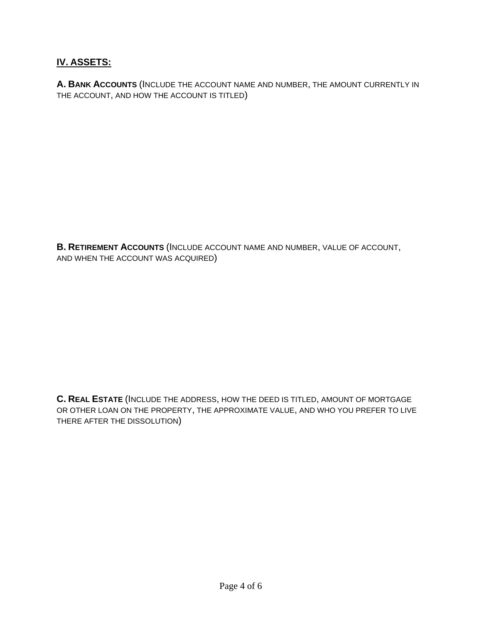## **IV. ASSETS:**

**A. BANK ACCOUNTS** (INCLUDE THE ACCOUNT NAME AND NUMBER, THE AMOUNT CURRENTLY IN THE ACCOUNT, AND HOW THE ACCOUNT IS TITLED)

**B. RETIREMENT ACCOUNTS** (INCLUDE ACCOUNT NAME AND NUMBER, VALUE OF ACCOUNT, AND WHEN THE ACCOUNT WAS ACQUIRED)

**C. REAL ESTATE** (INCLUDE THE ADDRESS, HOW THE DEED IS TITLED, AMOUNT OF MORTGAGE OR OTHER LOAN ON THE PROPERTY, THE APPROXIMATE VALUE, AND WHO YOU PREFER TO LIVE THERE AFTER THE DISSOLUTION)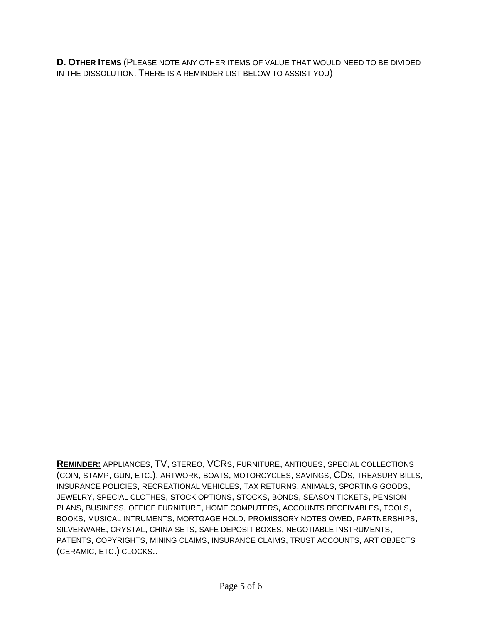**D. OTHER ITEMS** (PLEASE NOTE ANY OTHER ITEMS OF VALUE THAT WOULD NEED TO BE DIVIDED IN THE DISSOLUTION. THERE IS A REMINDER LIST BELOW TO ASSIST YOU)

**REMINDER:** APPLIANCES, TV, STEREO, VCRS, FURNITURE, ANTIQUES, SPECIAL COLLECTIONS (COIN, STAMP, GUN, ETC.), ARTWORK, BOATS, MOTORCYCLES, SAVINGS, CDS, TREASURY BILLS, INSURANCE POLICIES, RECREATIONAL VEHICLES, TAX RETURNS, ANIMALS, SPORTING GOODS, JEWELRY, SPECIAL CLOTHES, STOCK OPTIONS, STOCKS, BONDS, SEASON TICKETS, PENSION PLANS, BUSINESS, OFFICE FURNITURE, HOME COMPUTERS, ACCOUNTS RECEIVABLES, TOOLS, BOOKS, MUSICAL INTRUMENTS, MORTGAGE HOLD, PROMISSORY NOTES OWED, PARTNERSHIPS, SILVERWARE, CRYSTAL, CHINA SETS, SAFE DEPOSIT BOXES, NEGOTIABLE INSTRUMENTS, PATENTS, COPYRIGHTS, MINING CLAIMS, INSURANCE CLAIMS, TRUST ACCOUNTS, ART OBJECTS (CERAMIC, ETC.) CLOCKS..